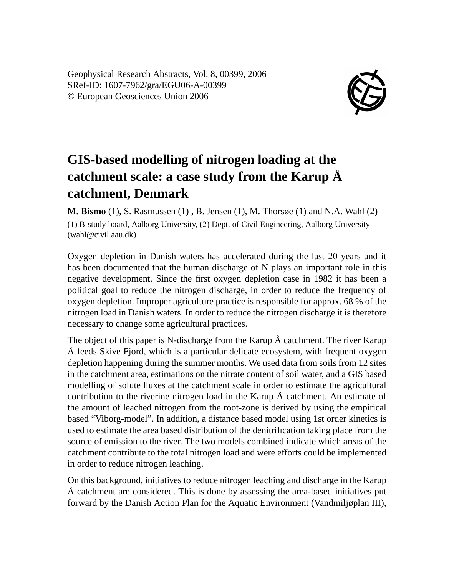Geophysical Research Abstracts, Vol. 8, 00399, 2006 SRef-ID: 1607-7962/gra/EGU06-A-00399 © European Geosciences Union 2006



## **GIS-based modelling of nitrogen loading at the catchment scale: a case study from the Karup Å catchment, Denmark**

**M. Bismo** (1), S. Rasmussen (1) , B. Jensen (1), M. Thorsøe (1) and N.A. Wahl (2) (1) B-study board, Aalborg University, (2) Dept. of Civil Engineering, Aalborg University (wahl@civil.aau.dk)

Oxygen depletion in Danish waters has accelerated during the last 20 years and it has been documented that the human discharge of N plays an important role in this negative development. Since the first oxygen depletion case in 1982 it has been a political goal to reduce the nitrogen discharge, in order to reduce the frequency of oxygen depletion. Improper agriculture practice is responsible for approx. 68 % of the nitrogen load in Danish waters. In order to reduce the nitrogen discharge it is therefore necessary to change some agricultural practices.

The object of this paper is N-discharge from the Karup Å catchment. The river Karup Å feeds Skive Fjord, which is a particular delicate ecosystem, with frequent oxygen depletion happening during the summer months. We used data from soils from 12 sites in the catchment area, estimations on the nitrate content of soil water, and a GIS based modelling of solute fluxes at the catchment scale in order to estimate the agricultural contribution to the riverine nitrogen load in the Karup Å catchment. An estimate of the amount of leached nitrogen from the root-zone is derived by using the empirical based "Viborg-model". In addition, a distance based model using 1st order kinetics is used to estimate the area based distribution of the denitrification taking place from the source of emission to the river. The two models combined indicate which areas of the catchment contribute to the total nitrogen load and were efforts could be implemented in order to reduce nitrogen leaching.

On this background, initiatives to reduce nitrogen leaching and discharge in the Karup Å catchment are considered. This is done by assessing the area-based initiatives put forward by the Danish Action Plan for the Aquatic Environment (Vandmiljøplan III),